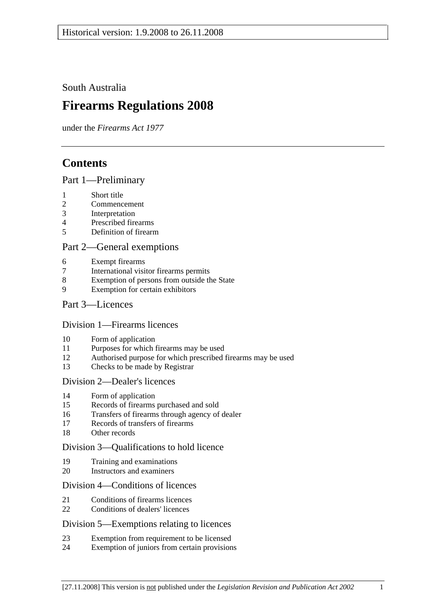South Australia

# **Firearms Regulations 2008**

under the *Firearms Act 1977*

# **Contents**

# Part 1—Preliminary

- 1 Short title
- 2 Commencement
- 3 Interpretation
- 4 Prescribed firearms
- 5 Definition of firearm

# Part 2—General exemptions

- 6 Exempt firearms
- 7 International visitor firearms permits
- 8 Exemption of persons from outside the State
- 9 Exemption for certain exhibitors

# Part 3—Licences

# Division 1—Firearms licences

- 10 Form of application
- 11 Purposes for which firearms may be used
- 12 Authorised purpose for which prescribed firearms may be used
- 13 Checks to be made by Registrar

# Division 2—Dealer's licences

- 14 Form of application
- 15 Records of firearms purchased and sold
- 16 Transfers of firearms through agency of dealer
- 17 Records of transfers of firearms
- 18 Other records

# Division 3—Qualifications to hold licence

- 19 Training and examinations
- 20 Instructors and examiners

#### Division 4—Conditions of licences

- 21 Conditions of firearms licences
- 22 Conditions of dealers' licences

# Division 5—Exemptions relating to licences

- 23 Exemption from requirement to be licensed
- 24 Exemption of juniors from certain provisions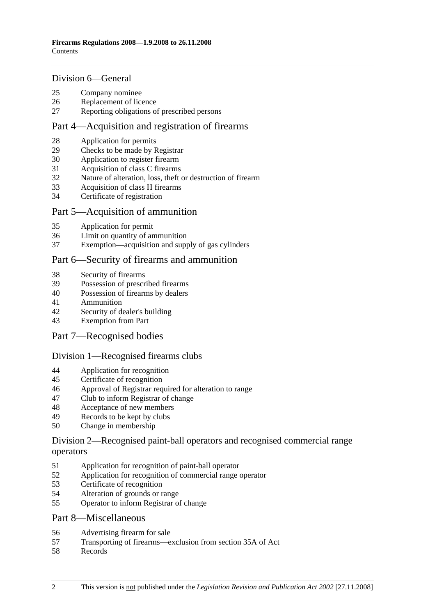#### Division 6—General

- 25 Company nominee
- 26 Replacement of licence
- 27 Reporting obligations of prescribed persons

#### Part 4—Acquisition and registration of firearms

- 28 Application for permits
- 29 Checks to be made by Registrar
- 30 Application to register firearm
- 31 Acquisition of class C firearms
- 32 Nature of alteration, loss, theft or destruction of firearm
- 33 Acquisition of class H firearms
- 34 Certificate of registration

#### Part 5—Acquisition of ammunition

- 35 Application for permit
- 36 Limit on quantity of ammunition
- 37 Exemption—acquisition and supply of gas cylinders

# Part 6—Security of firearms and ammunition

- 38 Security of firearms
- 39 Possession of prescribed firearms
- 40 Possession of firearms by dealers
- 41 Ammunition
- 42 Security of dealer's building
- 43 Exemption from Part
- Part 7—Recognised bodies

#### Division 1—Recognised firearms clubs

- 44 Application for recognition
- 45 Certificate of recognition
- 46 Approval of Registrar required for alteration to range
- 47 Club to inform Registrar of change
- 48 Acceptance of new members
- 49 Records to be kept by clubs
- 50 Change in membership

# Division 2—Recognised paint-ball operators and recognised commercial range operators

- 51 Application for recognition of paint-ball operator
- 52 Application for recognition of commercial range operator
- 53 Certificate of recognition
- 54 Alteration of grounds or range
- 55 Operator to inform Registrar of change

#### Part 8—Miscellaneous

- 56 Advertising firearm for sale
- 57 Transporting of firearms—exclusion from section 35A of Act
- 58 Records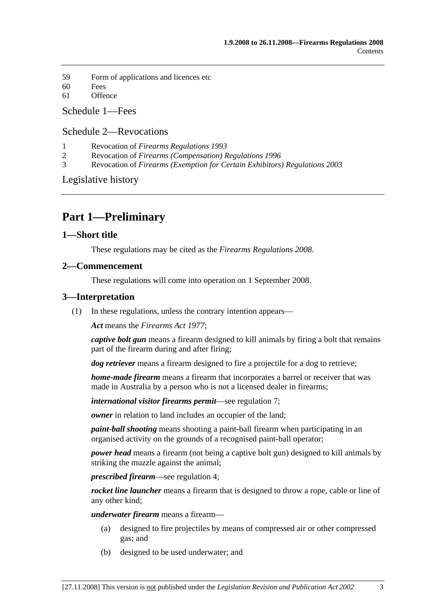- 59 Form of applications and licences etc
- 60 Fees
- 61 Offence

Schedule 1—Fees

# Schedule 2—Revocations

- 1 Revocation of *Firearms Regulations 1993*
- 2 Revocation of *Firearms (Compensation) Regulations 1996*
- 3 Revocation of *Firearms (Exemption for Certain Exhibitors) Regulations 2003*

Legislative history

# **Part 1—Preliminary**

# **1—Short title**

These regulations may be cited as the *Firearms Regulations 2008*.

# **2—Commencement**

These regulations will come into operation on 1 September 2008.

# **3—Interpretation**

(1) In these regulations, unless the contrary intention appears—

*Act* means the *Firearms Act 1977*;

*captive bolt gun* means a firearm designed to kill animals by firing a bolt that remains part of the firearm during and after firing;

*dog retriever* means a firearm designed to fire a projectile for a dog to retrieve;

*home-made firearm* means a firearm that incorporates a barrel or receiver that was made in Australia by a person who is not a licensed dealer in firearms;

*international visitor firearms permit*—see regulation 7;

*owner* in relation to land includes an occupier of the land;

*paint-ball shooting* means shooting a paint-ball firearm when participating in an organised activity on the grounds of a recognised paint-ball operator;

*power head* means a firearm (not being a captive bolt gun) designed to kill animals by striking the muzzle against the animal;

*prescribed firearm*—see regulation 4;

*rocket line launcher* means a firearm that is designed to throw a rope, cable or line of any other kind;

*underwater firearm* means a firearm—

- (a) designed to fire projectiles by means of compressed air or other compressed gas; and
- (b) designed to be used underwater; and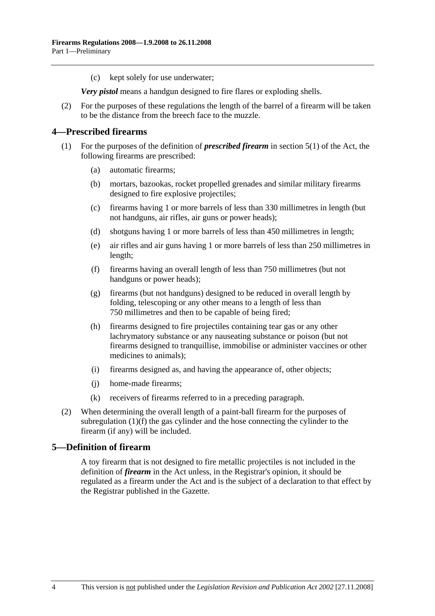(c) kept solely for use underwater;

*Very pistol* means a handgun designed to fire flares or exploding shells.

 (2) For the purposes of these regulations the length of the barrel of a firearm will be taken to be the distance from the breech face to the muzzle.

### **4—Prescribed firearms**

- (1) For the purposes of the definition of *prescribed firearm* in section 5(1) of the Act, the following firearms are prescribed:
	- (a) automatic firearms;
	- (b) mortars, bazookas, rocket propelled grenades and similar military firearms designed to fire explosive projectiles;
	- (c) firearms having 1 or more barrels of less than 330 millimetres in length (but not handguns, air rifles, air guns or power heads);
	- (d) shotguns having 1 or more barrels of less than 450 millimetres in length;
	- (e) air rifles and air guns having 1 or more barrels of less than 250 millimetres in length;
	- (f) firearms having an overall length of less than 750 millimetres (but not handguns or power heads);
	- (g) firearms (but not handguns) designed to be reduced in overall length by folding, telescoping or any other means to a length of less than 750 millimetres and then to be capable of being fired;
	- (h) firearms designed to fire projectiles containing tear gas or any other lachrymatory substance or any nauseating substance or poison (but not firearms designed to tranquillise, immobilise or administer vaccines or other medicines to animals);
	- (i) firearms designed as, and having the appearance of, other objects;
	- (j) home-made firearms;
	- (k) receivers of firearms referred to in a preceding paragraph.
- (2) When determining the overall length of a paint-ball firearm for the purposes of subregulation (1)(f) the gas cylinder and the hose connecting the cylinder to the firearm (if any) will be included.

# **5—Definition of firearm**

A toy firearm that is not designed to fire metallic projectiles is not included in the definition of *firearm* in the Act unless, in the Registrar's opinion, it should be regulated as a firearm under the Act and is the subject of a declaration to that effect by the Registrar published in the Gazette.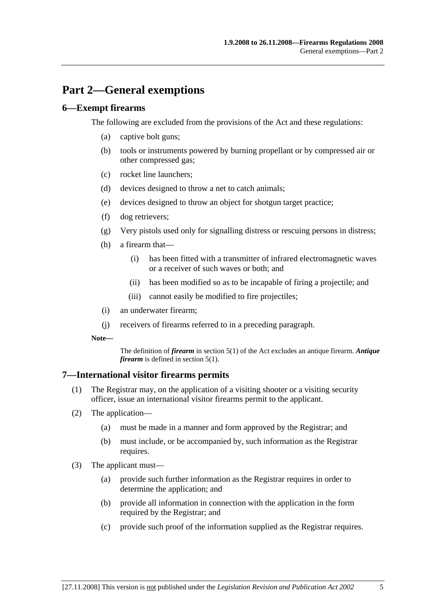# **Part 2—General exemptions**

### **6—Exempt firearms**

The following are excluded from the provisions of the Act and these regulations:

- (a) captive bolt guns;
- (b) tools or instruments powered by burning propellant or by compressed air or other compressed gas;
- (c) rocket line launchers;
- (d) devices designed to throw a net to catch animals;
- (e) devices designed to throw an object for shotgun target practice;
- (f) dog retrievers;
- (g) Very pistols used only for signalling distress or rescuing persons in distress;
- (h) a firearm that—
	- (i) has been fitted with a transmitter of infrared electromagnetic waves or a receiver of such waves or both; and
	- (ii) has been modified so as to be incapable of firing a projectile; and
	- (iii) cannot easily be modified to fire projectiles;
- (i) an underwater firearm;
- (j) receivers of firearms referred to in a preceding paragraph.
- **Note—**

The definition of *firearm* in section 5(1) of the Act excludes an antique firearm. *Antique firearm* is defined in section 5(1).

#### **7—International visitor firearms permits**

- (1) The Registrar may, on the application of a visiting shooter or a visiting security officer, issue an international visitor firearms permit to the applicant.
- (2) The application—
	- (a) must be made in a manner and form approved by the Registrar; and
	- (b) must include, or be accompanied by, such information as the Registrar requires.
- (3) The applicant must—
	- (a) provide such further information as the Registrar requires in order to determine the application; and
	- (b) provide all information in connection with the application in the form required by the Registrar; and
	- (c) provide such proof of the information supplied as the Registrar requires.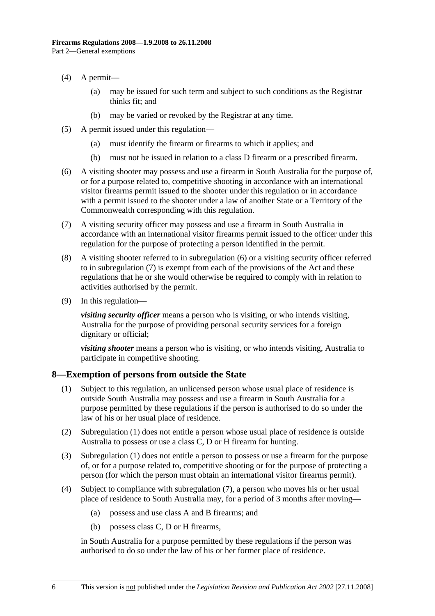- (4) A permit—
	- (a) may be issued for such term and subject to such conditions as the Registrar thinks fit; and
	- (b) may be varied or revoked by the Registrar at any time.
- (5) A permit issued under this regulation—
	- (a) must identify the firearm or firearms to which it applies; and
	- (b) must not be issued in relation to a class D firearm or a prescribed firearm.
- (6) A visiting shooter may possess and use a firearm in South Australia for the purpose of, or for a purpose related to, competitive shooting in accordance with an international visitor firearms permit issued to the shooter under this regulation or in accordance with a permit issued to the shooter under a law of another State or a Territory of the Commonwealth corresponding with this regulation.
- (7) A visiting security officer may possess and use a firearm in South Australia in accordance with an international visitor firearms permit issued to the officer under this regulation for the purpose of protecting a person identified in the permit.
- (8) A visiting shooter referred to in subregulation (6) or a visiting security officer referred to in subregulation (7) is exempt from each of the provisions of the Act and these regulations that he or she would otherwise be required to comply with in relation to activities authorised by the permit.
- (9) In this regulation—

*visiting security officer* means a person who is visiting, or who intends visiting, Australia for the purpose of providing personal security services for a foreign dignitary or official;

*visiting shooter* means a person who is visiting, or who intends visiting, Australia to participate in competitive shooting.

#### **8—Exemption of persons from outside the State**

- (1) Subject to this regulation, an unlicensed person whose usual place of residence is outside South Australia may possess and use a firearm in South Australia for a purpose permitted by these regulations if the person is authorised to do so under the law of his or her usual place of residence.
- (2) Subregulation (1) does not entitle a person whose usual place of residence is outside Australia to possess or use a class C, D or H firearm for hunting.
- (3) Subregulation (1) does not entitle a person to possess or use a firearm for the purpose of, or for a purpose related to, competitive shooting or for the purpose of protecting a person (for which the person must obtain an international visitor firearms permit).
- (4) Subject to compliance with subregulation (7), a person who moves his or her usual place of residence to South Australia may, for a period of 3 months after moving—
	- (a) possess and use class A and B firearms; and
	- (b) possess class C, D or H firearms,

in South Australia for a purpose permitted by these regulations if the person was authorised to do so under the law of his or her former place of residence.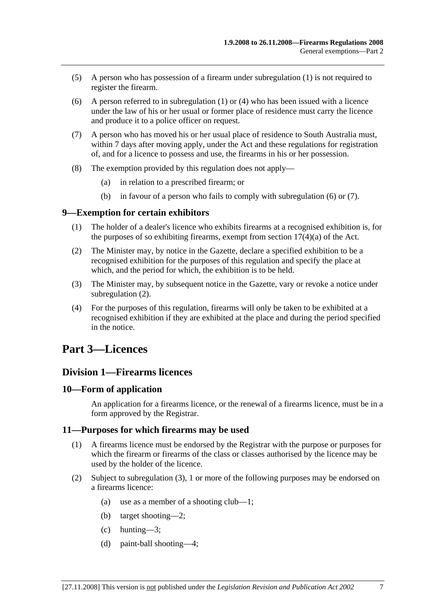- (5) A person who has possession of a firearm under subregulation (1) is not required to register the firearm.
- (6) A person referred to in subregulation  $(1)$  or  $(4)$  who has been issued with a licence under the law of his or her usual or former place of residence must carry the licence and produce it to a police officer on request.
- (7) A person who has moved his or her usual place of residence to South Australia must, within 7 days after moving apply, under the Act and these regulations for registration of, and for a licence to possess and use, the firearms in his or her possession.
- (8) The exemption provided by this regulation does not apply—
	- (a) in relation to a prescribed firearm; or
	- (b) in favour of a person who fails to comply with subregulation (6) or (7).

### **9—Exemption for certain exhibitors**

- (1) The holder of a dealer's licence who exhibits firearms at a recognised exhibition is, for the purposes of so exhibiting firearms, exempt from section  $17(4)(a)$  of the Act.
- (2) The Minister may, by notice in the Gazette, declare a specified exhibition to be a recognised exhibition for the purposes of this regulation and specify the place at which, and the period for which, the exhibition is to be held.
- (3) The Minister may, by subsequent notice in the Gazette, vary or revoke a notice under subregulation (2).
- (4) For the purposes of this regulation, firearms will only be taken to be exhibited at a recognised exhibition if they are exhibited at the place and during the period specified in the notice.

# **Part 3—Licences**

# **Division 1—Firearms licences**

#### **10—Form of application**

An application for a firearms licence, or the renewal of a firearms licence, must be in a form approved by the Registrar.

#### **11—Purposes for which firearms may be used**

- (1) A firearms licence must be endorsed by the Registrar with the purpose or purposes for which the firearm or firearms of the class or classes authorised by the licence may be used by the holder of the licence.
- (2) Subject to subregulation (3), 1 or more of the following purposes may be endorsed on a firearms licence:
	- (a) use as a member of a shooting club—1;
	- (b) target shooting—2;
	- (c) hunting—3;
	- (d) paint-ball shooting—4;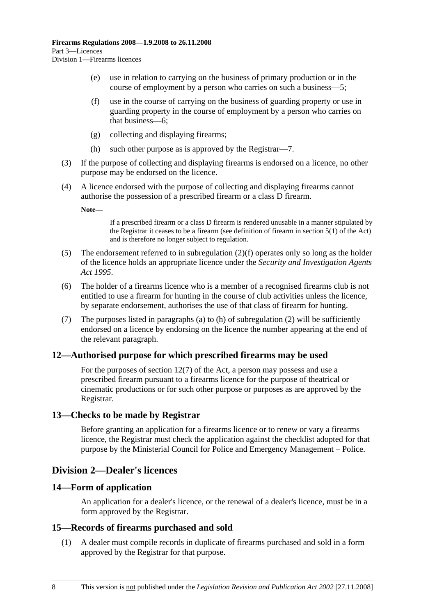- (e) use in relation to carrying on the business of primary production or in the course of employment by a person who carries on such a business—5;
- (f) use in the course of carrying on the business of guarding property or use in guarding property in the course of employment by a person who carries on that business—6;
- (g) collecting and displaying firearms;
- (h) such other purpose as is approved by the Registrar—7.
- (3) If the purpose of collecting and displaying firearms is endorsed on a licence, no other purpose may be endorsed on the licence.
- (4) A licence endorsed with the purpose of collecting and displaying firearms cannot authorise the possession of a prescribed firearm or a class D firearm.

**Note—** 

If a prescribed firearm or a class D firearm is rendered unusable in a manner stipulated by the Registrar it ceases to be a firearm (see definition of firearm in section 5(1) of the Act) and is therefore no longer subject to regulation.

- (5) The endorsement referred to in subregulation (2)(f) operates only so long as the holder of the licence holds an appropriate licence under the *Security and Investigation Agents Act 1995*.
- (6) The holder of a firearms licence who is a member of a recognised firearms club is not entitled to use a firearm for hunting in the course of club activities unless the licence, by separate endorsement, authorises the use of that class of firearm for hunting.
- (7) The purposes listed in paragraphs (a) to (h) of subregulation (2) will be sufficiently endorsed on a licence by endorsing on the licence the number appearing at the end of the relevant paragraph.

# **12—Authorised purpose for which prescribed firearms may be used**

For the purposes of section 12(7) of the Act, a person may possess and use a prescribed firearm pursuant to a firearms licence for the purpose of theatrical or cinematic productions or for such other purpose or purposes as are approved by the Registrar.

#### **13—Checks to be made by Registrar**

Before granting an application for a firearms licence or to renew or vary a firearms licence, the Registrar must check the application against the checklist adopted for that purpose by the Ministerial Council for Police and Emergency Management – Police.

# **Division 2—Dealer's licences**

#### **14—Form of application**

An application for a dealer's licence, or the renewal of a dealer's licence, must be in a form approved by the Registrar.

#### **15—Records of firearms purchased and sold**

 (1) A dealer must compile records in duplicate of firearms purchased and sold in a form approved by the Registrar for that purpose.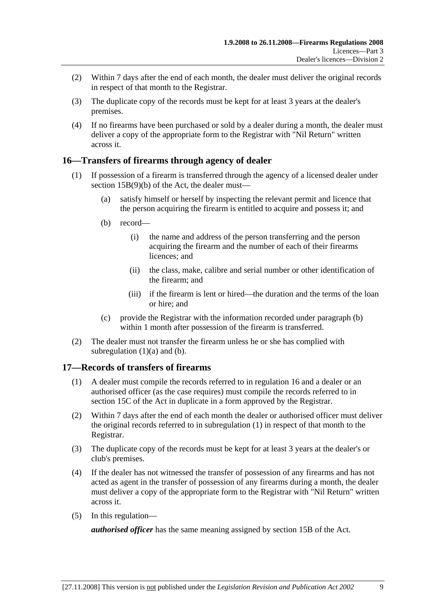- (2) Within 7 days after the end of each month, the dealer must deliver the original records in respect of that month to the Registrar.
- (3) The duplicate copy of the records must be kept for at least 3 years at the dealer's premises.
- (4) If no firearms have been purchased or sold by a dealer during a month, the dealer must deliver a copy of the appropriate form to the Registrar with "Nil Return" written across it.

# **16—Transfers of firearms through agency of dealer**

- (1) If possession of a firearm is transferred through the agency of a licensed dealer under section 15B(9)(b) of the Act, the dealer must—
	- (a) satisfy himself or herself by inspecting the relevant permit and licence that the person acquiring the firearm is entitled to acquire and possess it; and
	- (b) record—
		- (i) the name and address of the person transferring and the person acquiring the firearm and the number of each of their firearms licences; and
		- (ii) the class, make, calibre and serial number or other identification of the firearm; and
		- (iii) if the firearm is lent or hired—the duration and the terms of the loan or hire; and
	- (c) provide the Registrar with the information recorded under paragraph (b) within 1 month after possession of the firearm is transferred.
- (2) The dealer must not transfer the firearm unless he or she has complied with subregulation  $(1)(a)$  and  $(b)$ .

# **17—Records of transfers of firearms**

- (1) A dealer must compile the records referred to in regulation 16 and a dealer or an authorised officer (as the case requires) must compile the records referred to in section 15C of the Act in duplicate in a form approved by the Registrar.
- (2) Within 7 days after the end of each month the dealer or authorised officer must deliver the original records referred to in subregulation (1) in respect of that month to the Registrar.
- (3) The duplicate copy of the records must be kept for at least 3 years at the dealer's or club's premises.
- (4) If the dealer has not witnessed the transfer of possession of any firearms and has not acted as agent in the transfer of possession of any firearms during a month, the dealer must deliver a copy of the appropriate form to the Registrar with "Nil Return" written across it.
- (5) In this regulation—

*authorised officer* has the same meaning assigned by section 15B of the Act.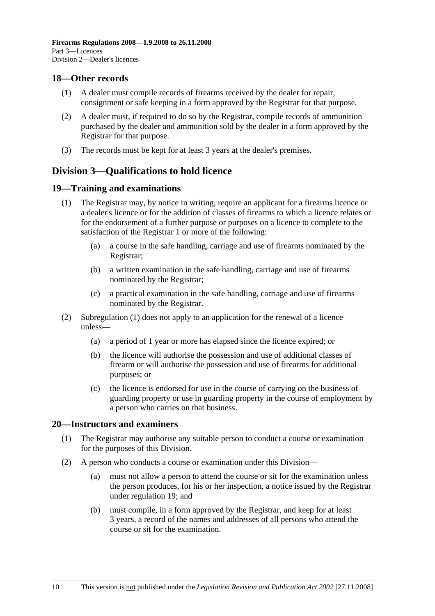# **18—Other records**

- (1) A dealer must compile records of firearms received by the dealer for repair, consignment or safe keeping in a form approved by the Registrar for that purpose.
- (2) A dealer must, if required to do so by the Registrar, compile records of ammunition purchased by the dealer and ammunition sold by the dealer in a form approved by the Registrar for that purpose.
- (3) The records must be kept for at least 3 years at the dealer's premises.

# **Division 3—Qualifications to hold licence**

### **19—Training and examinations**

- (1) The Registrar may, by notice in writing, require an applicant for a firearms licence or a dealer's licence or for the addition of classes of firearms to which a licence relates or for the endorsement of a further purpose or purposes on a licence to complete to the satisfaction of the Registrar 1 or more of the following:
	- (a) a course in the safe handling, carriage and use of firearms nominated by the Registrar;
	- (b) a written examination in the safe handling, carriage and use of firearms nominated by the Registrar;
	- (c) a practical examination in the safe handling, carriage and use of firearms nominated by the Registrar.
- (2) Subregulation (1) does not apply to an application for the renewal of a licence unless—
	- (a) a period of 1 year or more has elapsed since the licence expired; or
	- (b) the licence will authorise the possession and use of additional classes of firearm or will authorise the possession and use of firearms for additional purposes; or
	- (c) the licence is endorsed for use in the course of carrying on the business of guarding property or use in guarding property in the course of employment by a person who carries on that business.

#### **20—Instructors and examiners**

- (1) The Registrar may authorise any suitable person to conduct a course or examination for the purposes of this Division.
- (2) A person who conducts a course or examination under this Division—
	- (a) must not allow a person to attend the course or sit for the examination unless the person produces, for his or her inspection, a notice issued by the Registrar under regulation 19; and
	- (b) must compile, in a form approved by the Registrar, and keep for at least 3 years, a record of the names and addresses of all persons who attend the course or sit for the examination.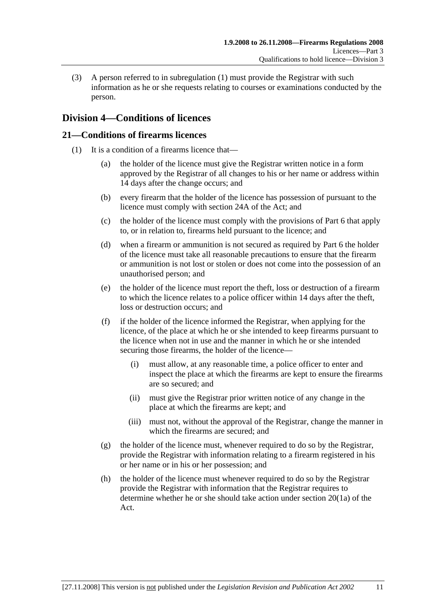(3) A person referred to in subregulation (1) must provide the Registrar with such information as he or she requests relating to courses or examinations conducted by the person.

# **Division 4—Conditions of licences**

# **21—Conditions of firearms licences**

- (1) It is a condition of a firearms licence that—
	- (a) the holder of the licence must give the Registrar written notice in a form approved by the Registrar of all changes to his or her name or address within 14 days after the change occurs; and
	- (b) every firearm that the holder of the licence has possession of pursuant to the licence must comply with section 24A of the Act; and
	- (c) the holder of the licence must comply with the provisions of Part 6 that apply to, or in relation to, firearms held pursuant to the licence; and
	- (d) when a firearm or ammunition is not secured as required by Part 6 the holder of the licence must take all reasonable precautions to ensure that the firearm or ammunition is not lost or stolen or does not come into the possession of an unauthorised person; and
	- (e) the holder of the licence must report the theft, loss or destruction of a firearm to which the licence relates to a police officer within 14 days after the theft, loss or destruction occurs; and
	- (f) if the holder of the licence informed the Registrar, when applying for the licence, of the place at which he or she intended to keep firearms pursuant to the licence when not in use and the manner in which he or she intended securing those firearms, the holder of the licence—
		- (i) must allow, at any reasonable time, a police officer to enter and inspect the place at which the firearms are kept to ensure the firearms are so secured; and
		- (ii) must give the Registrar prior written notice of any change in the place at which the firearms are kept; and
		- (iii) must not, without the approval of the Registrar, change the manner in which the firearms are secured; and
	- (g) the holder of the licence must, whenever required to do so by the Registrar, provide the Registrar with information relating to a firearm registered in his or her name or in his or her possession; and
	- (h) the holder of the licence must whenever required to do so by the Registrar provide the Registrar with information that the Registrar requires to determine whether he or she should take action under section 20(1a) of the Act.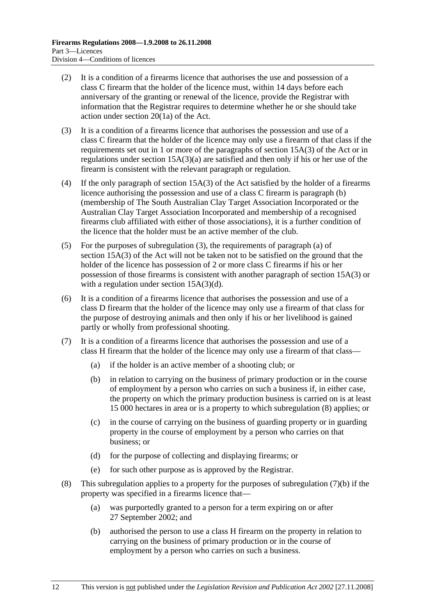- (2) It is a condition of a firearms licence that authorises the use and possession of a class C firearm that the holder of the licence must, within 14 days before each anniversary of the granting or renewal of the licence, provide the Registrar with information that the Registrar requires to determine whether he or she should take action under section 20(1a) of the Act.
- (3) It is a condition of a firearms licence that authorises the possession and use of a class C firearm that the holder of the licence may only use a firearm of that class if the requirements set out in 1 or more of the paragraphs of section 15A(3) of the Act or in regulations under section 15A(3)(a) are satisfied and then only if his or her use of the firearm is consistent with the relevant paragraph or regulation.
- (4) If the only paragraph of section 15A(3) of the Act satisfied by the holder of a firearms licence authorising the possession and use of a class C firearm is paragraph (b) (membership of The South Australian Clay Target Association Incorporated or the Australian Clay Target Association Incorporated and membership of a recognised firearms club affiliated with either of those associations), it is a further condition of the licence that the holder must be an active member of the club.
- (5) For the purposes of subregulation (3), the requirements of paragraph (a) of section 15A(3) of the Act will not be taken not to be satisfied on the ground that the holder of the licence has possession of 2 or more class C firearms if his or her possession of those firearms is consistent with another paragraph of section 15A(3) or with a regulation under section 15A(3)(d).
- (6) It is a condition of a firearms licence that authorises the possession and use of a class D firearm that the holder of the licence may only use a firearm of that class for the purpose of destroying animals and then only if his or her livelihood is gained partly or wholly from professional shooting.
- (7) It is a condition of a firearms licence that authorises the possession and use of a class H firearm that the holder of the licence may only use a firearm of that class—
	- (a) if the holder is an active member of a shooting club; or
	- (b) in relation to carrying on the business of primary production or in the course of employment by a person who carries on such a business if, in either case, the property on which the primary production business is carried on is at least 15 000 hectares in area or is a property to which subregulation (8) applies; or
	- (c) in the course of carrying on the business of guarding property or in guarding property in the course of employment by a person who carries on that business; or
	- (d) for the purpose of collecting and displaying firearms; or
	- (e) for such other purpose as is approved by the Registrar.
- (8) This subregulation applies to a property for the purposes of subregulation (7)(b) if the property was specified in a firearms licence that—
	- (a) was purportedly granted to a person for a term expiring on or after 27 September 2002; and
	- (b) authorised the person to use a class H firearm on the property in relation to carrying on the business of primary production or in the course of employment by a person who carries on such a business.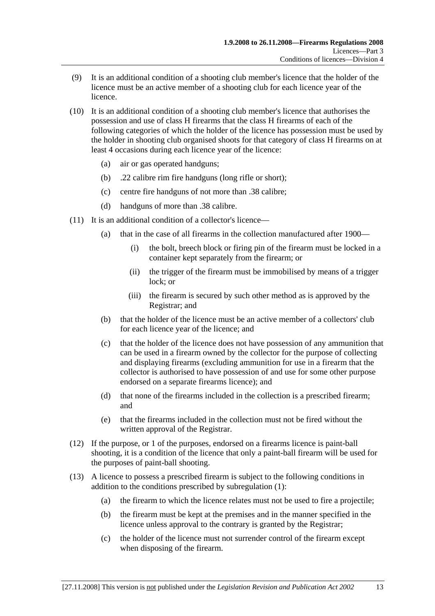- (9) It is an additional condition of a shooting club member's licence that the holder of the licence must be an active member of a shooting club for each licence year of the licence.
- (10) It is an additional condition of a shooting club member's licence that authorises the possession and use of class H firearms that the class H firearms of each of the following categories of which the holder of the licence has possession must be used by the holder in shooting club organised shoots for that category of class H firearms on at least 4 occasions during each licence year of the licence:
	- (a) air or gas operated handguns;
	- (b) .22 calibre rim fire handguns (long rifle or short);
	- (c) centre fire handguns of not more than .38 calibre;
	- (d) handguns of more than .38 calibre.
- (11) It is an additional condition of a collector's licence—
	- (a) that in the case of all firearms in the collection manufactured after 1900—
		- (i) the bolt, breech block or firing pin of the firearm must be locked in a container kept separately from the firearm; or
		- (ii) the trigger of the firearm must be immobilised by means of a trigger lock; or
		- (iii) the firearm is secured by such other method as is approved by the Registrar; and
	- (b) that the holder of the licence must be an active member of a collectors' club for each licence year of the licence; and
	- (c) that the holder of the licence does not have possession of any ammunition that can be used in a firearm owned by the collector for the purpose of collecting and displaying firearms (excluding ammunition for use in a firearm that the collector is authorised to have possession of and use for some other purpose endorsed on a separate firearms licence); and
	- (d) that none of the firearms included in the collection is a prescribed firearm; and
	- (e) that the firearms included in the collection must not be fired without the written approval of the Registrar.
- (12) If the purpose, or 1 of the purposes, endorsed on a firearms licence is paint-ball shooting, it is a condition of the licence that only a paint-ball firearm will be used for the purposes of paint-ball shooting.
- (13) A licence to possess a prescribed firearm is subject to the following conditions in addition to the conditions prescribed by subregulation (1):
	- (a) the firearm to which the licence relates must not be used to fire a projectile;
	- (b) the firearm must be kept at the premises and in the manner specified in the licence unless approval to the contrary is granted by the Registrar;
	- (c) the holder of the licence must not surrender control of the firearm except when disposing of the firearm.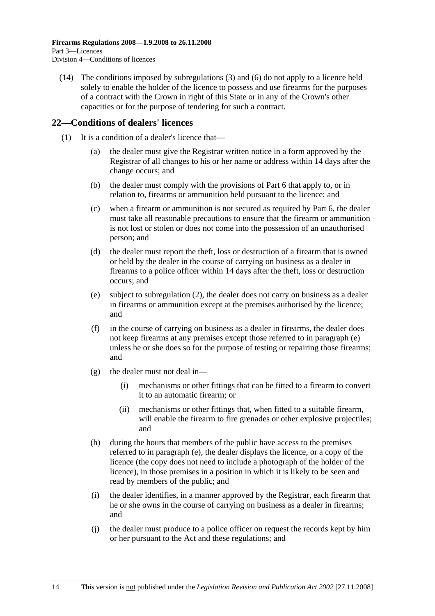(14) The conditions imposed by subregulations (3) and (6) do not apply to a licence held solely to enable the holder of the licence to possess and use firearms for the purposes of a contract with the Crown in right of this State or in any of the Crown's other capacities or for the purpose of tendering for such a contract.

# **22—Conditions of dealers' licences**

- (1) It is a condition of a dealer's licence that—
	- (a) the dealer must give the Registrar written notice in a form approved by the Registrar of all changes to his or her name or address within 14 days after the change occurs; and
	- (b) the dealer must comply with the provisions of Part 6 that apply to, or in relation to, firearms or ammunition held pursuant to the licence; and
	- (c) when a firearm or ammunition is not secured as required by Part 6, the dealer must take all reasonable precautions to ensure that the firearm or ammunition is not lost or stolen or does not come into the possession of an unauthorised person; and
	- (d) the dealer must report the theft, loss or destruction of a firearm that is owned or held by the dealer in the course of carrying on business as a dealer in firearms to a police officer within 14 days after the theft, loss or destruction occurs; and
	- (e) subject to subregulation (2), the dealer does not carry on business as a dealer in firearms or ammunition except at the premises authorised by the licence; and
	- (f) in the course of carrying on business as a dealer in firearms, the dealer does not keep firearms at any premises except those referred to in paragraph (e) unless he or she does so for the purpose of testing or repairing those firearms; and
	- $(g)$  the dealer must not deal in—
		- (i) mechanisms or other fittings that can be fitted to a firearm to convert it to an automatic firearm; or
		- (ii) mechanisms or other fittings that, when fitted to a suitable firearm, will enable the firearm to fire grenades or other explosive projectiles; and
	- (h) during the hours that members of the public have access to the premises referred to in paragraph (e), the dealer displays the licence, or a copy of the licence (the copy does not need to include a photograph of the holder of the licence), in those premises in a position in which it is likely to be seen and read by members of the public; and
	- (i) the dealer identifies, in a manner approved by the Registrar, each firearm that he or she owns in the course of carrying on business as a dealer in firearms; and
	- (j) the dealer must produce to a police officer on request the records kept by him or her pursuant to the Act and these regulations; and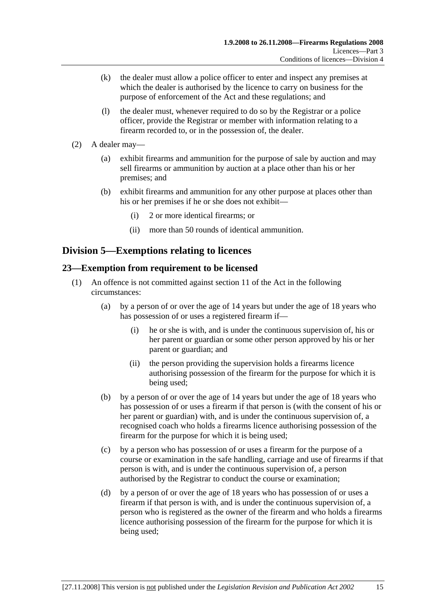- (k) the dealer must allow a police officer to enter and inspect any premises at which the dealer is authorised by the licence to carry on business for the purpose of enforcement of the Act and these regulations; and
- (l) the dealer must, whenever required to do so by the Registrar or a police officer, provide the Registrar or member with information relating to a firearm recorded to, or in the possession of, the dealer.
- (2) A dealer may—
	- (a) exhibit firearms and ammunition for the purpose of sale by auction and may sell firearms or ammunition by auction at a place other than his or her premises; and
	- (b) exhibit firearms and ammunition for any other purpose at places other than his or her premises if he or she does not exhibit—
		- (i) 2 or more identical firearms; or
		- (ii) more than 50 rounds of identical ammunition.

# **Division 5—Exemptions relating to licences**

# **23—Exemption from requirement to be licensed**

- (1) An offence is not committed against section 11 of the Act in the following circumstances:
	- (a) by a person of or over the age of 14 years but under the age of 18 years who has possession of or uses a registered firearm if—
		- (i) he or she is with, and is under the continuous supervision of, his or her parent or guardian or some other person approved by his or her parent or guardian; and
		- (ii) the person providing the supervision holds a firearms licence authorising possession of the firearm for the purpose for which it is being used;
	- (b) by a person of or over the age of 14 years but under the age of 18 years who has possession of or uses a firearm if that person is (with the consent of his or her parent or guardian) with, and is under the continuous supervision of, a recognised coach who holds a firearms licence authorising possession of the firearm for the purpose for which it is being used;
	- (c) by a person who has possession of or uses a firearm for the purpose of a course or examination in the safe handling, carriage and use of firearms if that person is with, and is under the continuous supervision of, a person authorised by the Registrar to conduct the course or examination;
	- (d) by a person of or over the age of 18 years who has possession of or uses a firearm if that person is with, and is under the continuous supervision of, a person who is registered as the owner of the firearm and who holds a firearms licence authorising possession of the firearm for the purpose for which it is being used;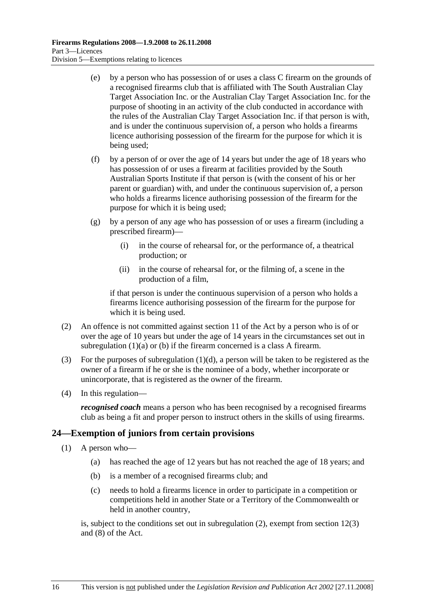- (e) by a person who has possession of or uses a class C firearm on the grounds of a recognised firearms club that is affiliated with The South Australian Clay Target Association Inc. or the Australian Clay Target Association Inc. for the purpose of shooting in an activity of the club conducted in accordance with the rules of the Australian Clay Target Association Inc. if that person is with, and is under the continuous supervision of, a person who holds a firearms licence authorising possession of the firearm for the purpose for which it is being used;
- (f) by a person of or over the age of 14 years but under the age of 18 years who has possession of or uses a firearm at facilities provided by the South Australian Sports Institute if that person is (with the consent of his or her parent or guardian) with, and under the continuous supervision of, a person who holds a firearms licence authorising possession of the firearm for the purpose for which it is being used;
- (g) by a person of any age who has possession of or uses a firearm (including a prescribed firearm)—
	- (i) in the course of rehearsal for, or the performance of, a theatrical production; or
	- (ii) in the course of rehearsal for, or the filming of, a scene in the production of a film,

if that person is under the continuous supervision of a person who holds a firearms licence authorising possession of the firearm for the purpose for which it is being used.

- (2) An offence is not committed against section 11 of the Act by a person who is of or over the age of 10 years but under the age of 14 years in the circumstances set out in subregulation (1)(a) or (b) if the firearm concerned is a class A firearm.
- (3) For the purposes of subregulation  $(1)(d)$ , a person will be taken to be registered as the owner of a firearm if he or she is the nominee of a body, whether incorporate or unincorporate, that is registered as the owner of the firearm.
- (4) In this regulation—

*recognised coach* means a person who has been recognised by a recognised firearms club as being a fit and proper person to instruct others in the skills of using firearms.

# **24—Exemption of juniors from certain provisions**

- (1) A person who—
	- (a) has reached the age of 12 years but has not reached the age of 18 years; and
	- (b) is a member of a recognised firearms club; and
	- (c) needs to hold a firearms licence in order to participate in a competition or competitions held in another State or a Territory of the Commonwealth or held in another country,

is, subject to the conditions set out in subregulation (2), exempt from section 12(3) and (8) of the Act.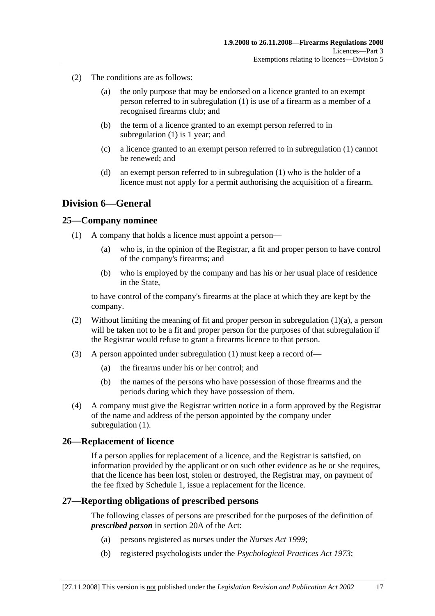- (2) The conditions are as follows:
	- (a) the only purpose that may be endorsed on a licence granted to an exempt person referred to in subregulation (1) is use of a firearm as a member of a recognised firearms club; and
	- (b) the term of a licence granted to an exempt person referred to in subregulation (1) is 1 year; and
	- (c) a licence granted to an exempt person referred to in subregulation (1) cannot be renewed; and
	- (d) an exempt person referred to in subregulation (1) who is the holder of a licence must not apply for a permit authorising the acquisition of a firearm.

# **Division 6—General**

#### **25—Company nominee**

- (1) A company that holds a licence must appoint a person—
	- (a) who is, in the opinion of the Registrar, a fit and proper person to have control of the company's firearms; and
	- (b) who is employed by the company and has his or her usual place of residence in the State,

to have control of the company's firearms at the place at which they are kept by the company.

- (2) Without limiting the meaning of fit and proper person in subregulation  $(1)(a)$ , a person will be taken not to be a fit and proper person for the purposes of that subregulation if the Registrar would refuse to grant a firearms licence to that person.
- (3) A person appointed under subregulation (1) must keep a record of—
	- (a) the firearms under his or her control; and
	- (b) the names of the persons who have possession of those firearms and the periods during which they have possession of them.
- (4) A company must give the Registrar written notice in a form approved by the Registrar of the name and address of the person appointed by the company under subregulation (1).

#### **26—Replacement of licence**

If a person applies for replacement of a licence, and the Registrar is satisfied, on information provided by the applicant or on such other evidence as he or she requires, that the licence has been lost, stolen or destroyed, the Registrar may, on payment of the fee fixed by Schedule 1, issue a replacement for the licence.

#### **27—Reporting obligations of prescribed persons**

The following classes of persons are prescribed for the purposes of the definition of *prescribed person* in section 20A of the Act:

- (a) persons registered as nurses under the *Nurses Act 1999*;
- (b) registered psychologists under the *Psychological Practices Act 1973*;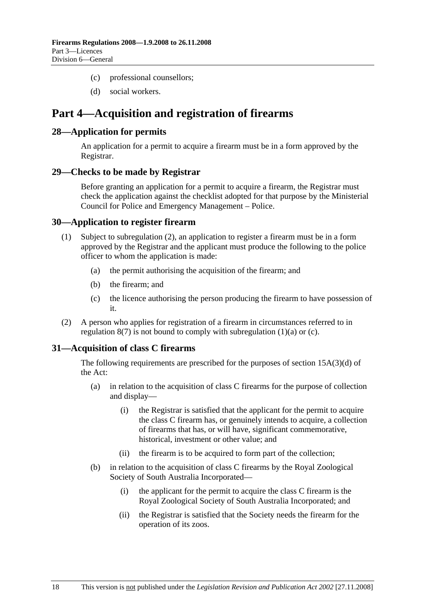- (c) professional counsellors;
- (d) social workers.

# **Part 4—Acquisition and registration of firearms**

### **28—Application for permits**

An application for a permit to acquire a firearm must be in a form approved by the Registrar.

#### **29—Checks to be made by Registrar**

Before granting an application for a permit to acquire a firearm, the Registrar must check the application against the checklist adopted for that purpose by the Ministerial Council for Police and Emergency Management – Police.

### **30—Application to register firearm**

- (1) Subject to subregulation (2), an application to register a firearm must be in a form approved by the Registrar and the applicant must produce the following to the police officer to whom the application is made:
	- (a) the permit authorising the acquisition of the firearm; and
	- (b) the firearm; and
	- (c) the licence authorising the person producing the firearm to have possession of it.
- (2) A person who applies for registration of a firearm in circumstances referred to in regulation  $8(7)$  is not bound to comply with subregulation  $(1)(a)$  or  $(c)$ .

# **31—Acquisition of class C firearms**

The following requirements are prescribed for the purposes of section 15A(3)(d) of the Act:

- (a) in relation to the acquisition of class C firearms for the purpose of collection and display—
	- (i) the Registrar is satisfied that the applicant for the permit to acquire the class C firearm has, or genuinely intends to acquire, a collection of firearms that has, or will have, significant commemorative, historical, investment or other value; and
	- (ii) the firearm is to be acquired to form part of the collection;
- (b) in relation to the acquisition of class C firearms by the Royal Zoological Society of South Australia Incorporated—
	- (i) the applicant for the permit to acquire the class C firearm is the Royal Zoological Society of South Australia Incorporated; and
	- (ii) the Registrar is satisfied that the Society needs the firearm for the operation of its zoos.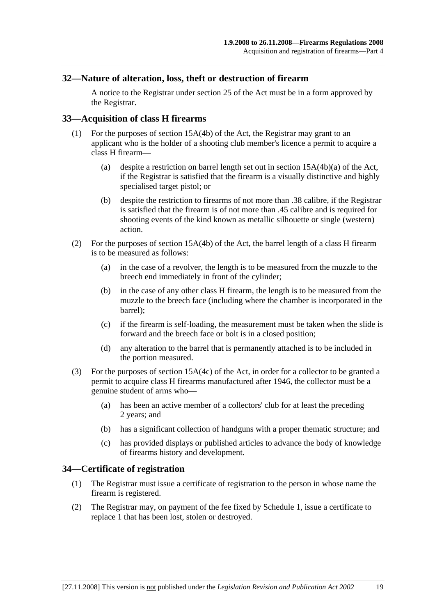### **32—Nature of alteration, loss, theft or destruction of firearm**

A notice to the Registrar under section 25 of the Act must be in a form approved by the Registrar.

### **33—Acquisition of class H firearms**

- (1) For the purposes of section 15A(4b) of the Act, the Registrar may grant to an applicant who is the holder of a shooting club member's licence a permit to acquire a class H firearm—
	- (a) despite a restriction on barrel length set out in section 15A(4b)(a) of the Act, if the Registrar is satisfied that the firearm is a visually distinctive and highly specialised target pistol; or
	- (b) despite the restriction to firearms of not more than .38 calibre, if the Registrar is satisfied that the firearm is of not more than .45 calibre and is required for shooting events of the kind known as metallic silhouette or single (western) action.
- (2) For the purposes of section 15A(4b) of the Act, the barrel length of a class H firearm is to be measured as follows:
	- (a) in the case of a revolver, the length is to be measured from the muzzle to the breech end immediately in front of the cylinder;
	- (b) in the case of any other class H firearm, the length is to be measured from the muzzle to the breech face (including where the chamber is incorporated in the barrel);
	- (c) if the firearm is self-loading, the measurement must be taken when the slide is forward and the breech face or bolt is in a closed position;
	- (d) any alteration to the barrel that is permanently attached is to be included in the portion measured.
- (3) For the purposes of section 15A(4c) of the Act, in order for a collector to be granted a permit to acquire class H firearms manufactured after 1946, the collector must be a genuine student of arms who—
	- (a) has been an active member of a collectors' club for at least the preceding 2 years; and
	- (b) has a significant collection of handguns with a proper thematic structure; and
	- (c) has provided displays or published articles to advance the body of knowledge of firearms history and development.

#### **34—Certificate of registration**

- (1) The Registrar must issue a certificate of registration to the person in whose name the firearm is registered.
- (2) The Registrar may, on payment of the fee fixed by Schedule 1, issue a certificate to replace 1 that has been lost, stolen or destroyed.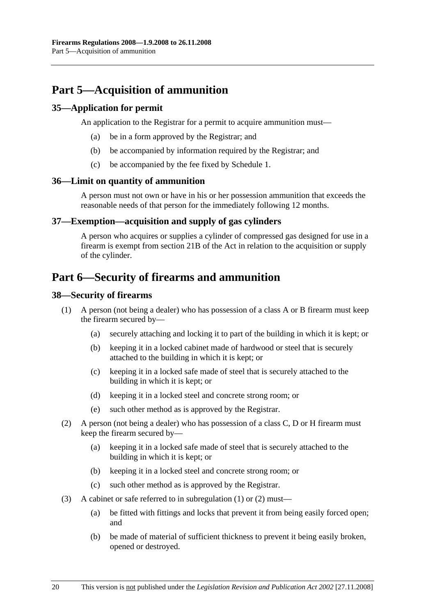# **Part 5—Acquisition of ammunition**

# **35—Application for permit**

An application to the Registrar for a permit to acquire ammunition must—

- (a) be in a form approved by the Registrar; and
- (b) be accompanied by information required by the Registrar; and
- (c) be accompanied by the fee fixed by Schedule 1.

#### **36—Limit on quantity of ammunition**

A person must not own or have in his or her possession ammunition that exceeds the reasonable needs of that person for the immediately following 12 months.

# **37—Exemption—acquisition and supply of gas cylinders**

A person who acquires or supplies a cylinder of compressed gas designed for use in a firearm is exempt from section 21B of the Act in relation to the acquisition or supply of the cylinder.

# **Part 6—Security of firearms and ammunition**

### **38—Security of firearms**

- (1) A person (not being a dealer) who has possession of a class A or B firearm must keep the firearm secured by—
	- (a) securely attaching and locking it to part of the building in which it is kept; or
	- (b) keeping it in a locked cabinet made of hardwood or steel that is securely attached to the building in which it is kept; or
	- (c) keeping it in a locked safe made of steel that is securely attached to the building in which it is kept; or
	- (d) keeping it in a locked steel and concrete strong room; or
	- (e) such other method as is approved by the Registrar.
- (2) A person (not being a dealer) who has possession of a class C, D or H firearm must keep the firearm secured by—
	- (a) keeping it in a locked safe made of steel that is securely attached to the building in which it is kept; or
	- (b) keeping it in a locked steel and concrete strong room; or
	- (c) such other method as is approved by the Registrar.
- (3) A cabinet or safe referred to in subregulation (1) or (2) must—
	- (a) be fitted with fittings and locks that prevent it from being easily forced open; and
	- (b) be made of material of sufficient thickness to prevent it being easily broken, opened or destroyed.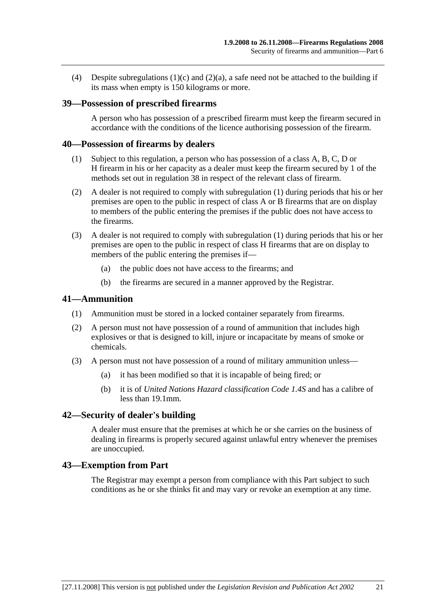(4) Despite subregulations  $(1)(c)$  and  $(2)(a)$ , a safe need not be attached to the building if its mass when empty is 150 kilograms or more.

#### **39—Possession of prescribed firearms**

A person who has possession of a prescribed firearm must keep the firearm secured in accordance with the conditions of the licence authorising possession of the firearm.

#### **40—Possession of firearms by dealers**

- (1) Subject to this regulation, a person who has possession of a class A, B, C, D or H firearm in his or her capacity as a dealer must keep the firearm secured by 1 of the methods set out in regulation 38 in respect of the relevant class of firearm.
- (2) A dealer is not required to comply with subregulation (1) during periods that his or her premises are open to the public in respect of class A or B firearms that are on display to members of the public entering the premises if the public does not have access to the firearms.
- (3) A dealer is not required to comply with subregulation (1) during periods that his or her premises are open to the public in respect of class H firearms that are on display to members of the public entering the premises if—
	- (a) the public does not have access to the firearms; and
	- (b) the firearms are secured in a manner approved by the Registrar.

#### **41—Ammunition**

- (1) Ammunition must be stored in a locked container separately from firearms.
- (2) A person must not have possession of a round of ammunition that includes high explosives or that is designed to kill, injure or incapacitate by means of smoke or chemicals.
- (3) A person must not have possession of a round of military ammunition unless—
	- (a) it has been modified so that it is incapable of being fired; or
	- (b) it is of *United Nations Hazard classification Code 1.4S* and has a calibre of less than 19.1mm.

#### **42—Security of dealer's building**

A dealer must ensure that the premises at which he or she carries on the business of dealing in firearms is properly secured against unlawful entry whenever the premises are unoccupied.

#### **43—Exemption from Part**

The Registrar may exempt a person from compliance with this Part subject to such conditions as he or she thinks fit and may vary or revoke an exemption at any time.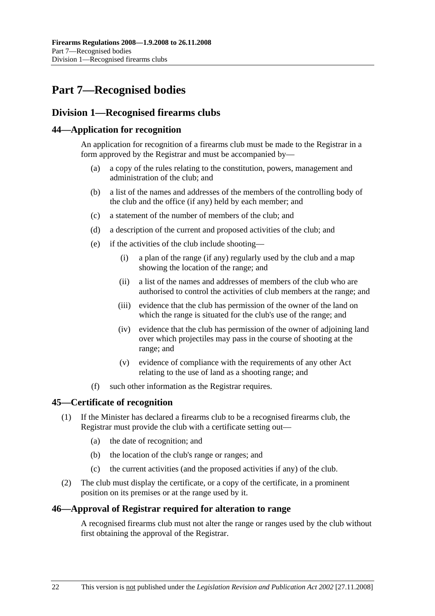# **Part 7—Recognised bodies**

# **Division 1—Recognised firearms clubs**

# **44—Application for recognition**

An application for recognition of a firearms club must be made to the Registrar in a form approved by the Registrar and must be accompanied by—

- (a) a copy of the rules relating to the constitution, powers, management and administration of the club; and
- (b) a list of the names and addresses of the members of the controlling body of the club and the office (if any) held by each member; and
- (c) a statement of the number of members of the club; and
- (d) a description of the current and proposed activities of the club; and
- (e) if the activities of the club include shooting—
	- (i) a plan of the range (if any) regularly used by the club and a map showing the location of the range; and
	- (ii) a list of the names and addresses of members of the club who are authorised to control the activities of club members at the range; and
	- (iii) evidence that the club has permission of the owner of the land on which the range is situated for the club's use of the range; and
	- (iv) evidence that the club has permission of the owner of adjoining land over which projectiles may pass in the course of shooting at the range; and
	- (v) evidence of compliance with the requirements of any other Act relating to the use of land as a shooting range; and
- (f) such other information as the Registrar requires.

# **45—Certificate of recognition**

- (1) If the Minister has declared a firearms club to be a recognised firearms club, the Registrar must provide the club with a certificate setting out—
	- (a) the date of recognition; and
	- (b) the location of the club's range or ranges; and
	- (c) the current activities (and the proposed activities if any) of the club.
- (2) The club must display the certificate, or a copy of the certificate, in a prominent position on its premises or at the range used by it.

# **46—Approval of Registrar required for alteration to range**

A recognised firearms club must not alter the range or ranges used by the club without first obtaining the approval of the Registrar.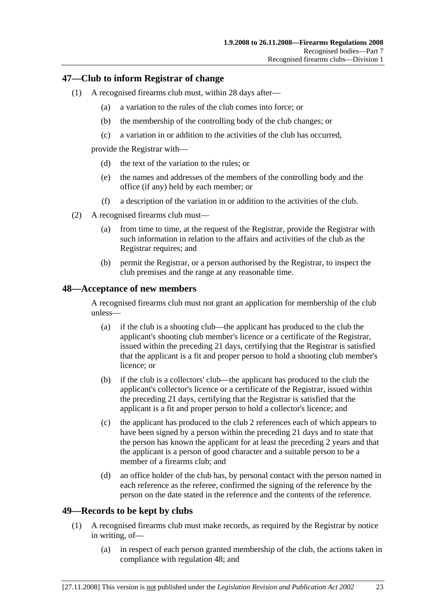### **47—Club to inform Registrar of change**

- (1) A recognised firearms club must, within 28 days after—
	- (a) a variation to the rules of the club comes into force; or
	- (b) the membership of the controlling body of the club changes; or
	- (c) a variation in or addition to the activities of the club has occurred,

provide the Registrar with—

- (d) the text of the variation to the rules; or
- (e) the names and addresses of the members of the controlling body and the office (if any) held by each member; or
- (f) a description of the variation in or addition to the activities of the club.
- (2) A recognised firearms club must—
	- (a) from time to time, at the request of the Registrar, provide the Registrar with such information in relation to the affairs and activities of the club as the Registrar requires; and
	- (b) permit the Registrar, or a person authorised by the Registrar, to inspect the club premises and the range at any reasonable time.

#### **48—Acceptance of new members**

A recognised firearms club must not grant an application for membership of the club unless—

- (a) if the club is a shooting club—the applicant has produced to the club the applicant's shooting club member's licence or a certificate of the Registrar, issued within the preceding 21 days, certifying that the Registrar is satisfied that the applicant is a fit and proper person to hold a shooting club member's licence; or
- (b) if the club is a collectors' club—the applicant has produced to the club the applicant's collector's licence or a certificate of the Registrar, issued within the preceding 21 days, certifying that the Registrar is satisfied that the applicant is a fit and proper person to hold a collector's licence; and
- (c) the applicant has produced to the club 2 references each of which appears to have been signed by a person within the preceding 21 days and to state that the person has known the applicant for at least the preceding 2 years and that the applicant is a person of good character and a suitable person to be a member of a firearms club; and
- (d) an office holder of the club has, by personal contact with the person named in each reference as the referee, confirmed the signing of the reference by the person on the date stated in the reference and the contents of the reference.

# **49—Records to be kept by clubs**

- (1) A recognised firearms club must make records, as required by the Registrar by notice in writing, of—
	- (a) in respect of each person granted membership of the club, the actions taken in compliance with regulation 48; and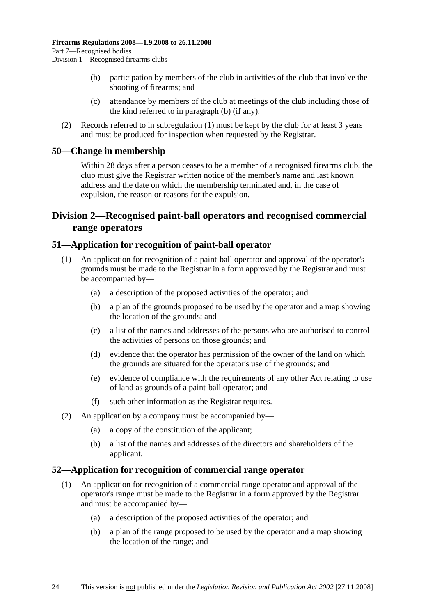- (b) participation by members of the club in activities of the club that involve the shooting of firearms; and
- (c) attendance by members of the club at meetings of the club including those of the kind referred to in paragraph (b) (if any).
- (2) Records referred to in subregulation (1) must be kept by the club for at least 3 years and must be produced for inspection when requested by the Registrar.

#### **50—Change in membership**

Within 28 days after a person ceases to be a member of a recognised firearms club, the club must give the Registrar written notice of the member's name and last known address and the date on which the membership terminated and, in the case of expulsion, the reason or reasons for the expulsion.

# **Division 2—Recognised paint-ball operators and recognised commercial range operators**

### **51—Application for recognition of paint-ball operator**

- (1) An application for recognition of a paint-ball operator and approval of the operator's grounds must be made to the Registrar in a form approved by the Registrar and must be accompanied by—
	- (a) a description of the proposed activities of the operator; and
	- (b) a plan of the grounds proposed to be used by the operator and a map showing the location of the grounds; and
	- (c) a list of the names and addresses of the persons who are authorised to control the activities of persons on those grounds; and
	- (d) evidence that the operator has permission of the owner of the land on which the grounds are situated for the operator's use of the grounds; and
	- (e) evidence of compliance with the requirements of any other Act relating to use of land as grounds of a paint-ball operator; and
	- (f) such other information as the Registrar requires.
- (2) An application by a company must be accompanied by—
	- (a) a copy of the constitution of the applicant;
	- (b) a list of the names and addresses of the directors and shareholders of the applicant.

#### **52—Application for recognition of commercial range operator**

- (1) An application for recognition of a commercial range operator and approval of the operator's range must be made to the Registrar in a form approved by the Registrar and must be accompanied by—
	- (a) a description of the proposed activities of the operator; and
	- (b) a plan of the range proposed to be used by the operator and a map showing the location of the range; and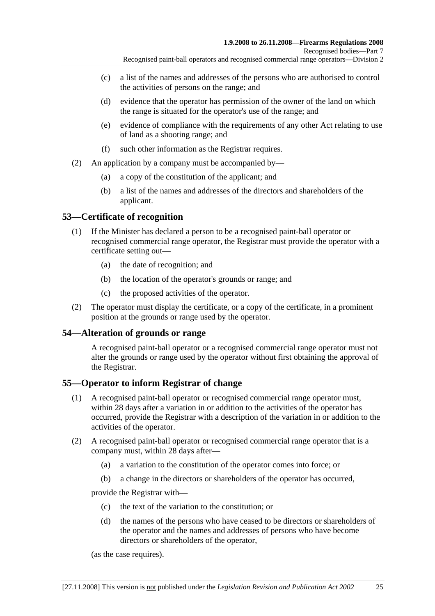- (c) a list of the names and addresses of the persons who are authorised to control the activities of persons on the range; and
- (d) evidence that the operator has permission of the owner of the land on which the range is situated for the operator's use of the range; and
- (e) evidence of compliance with the requirements of any other Act relating to use of land as a shooting range; and
- (f) such other information as the Registrar requires.
- (2) An application by a company must be accompanied by—
	- (a) a copy of the constitution of the applicant; and
	- (b) a list of the names and addresses of the directors and shareholders of the applicant.

# **53—Certificate of recognition**

- (1) If the Minister has declared a person to be a recognised paint-ball operator or recognised commercial range operator, the Registrar must provide the operator with a certificate setting out—
	- (a) the date of recognition; and
	- (b) the location of the operator's grounds or range; and
	- (c) the proposed activities of the operator.
- (2) The operator must display the certificate, or a copy of the certificate, in a prominent position at the grounds or range used by the operator.

# **54—Alteration of grounds or range**

A recognised paint-ball operator or a recognised commercial range operator must not alter the grounds or range used by the operator without first obtaining the approval of the Registrar.

# **55—Operator to inform Registrar of change**

- (1) A recognised paint-ball operator or recognised commercial range operator must, within 28 days after a variation in or addition to the activities of the operator has occurred, provide the Registrar with a description of the variation in or addition to the activities of the operator.
- (2) A recognised paint-ball operator or recognised commercial range operator that is a company must, within 28 days after—
	- (a) a variation to the constitution of the operator comes into force; or
	- (b) a change in the directors or shareholders of the operator has occurred,

provide the Registrar with—

- (c) the text of the variation to the constitution; or
- (d) the names of the persons who have ceased to be directors or shareholders of the operator and the names and addresses of persons who have become directors or shareholders of the operator,

(as the case requires).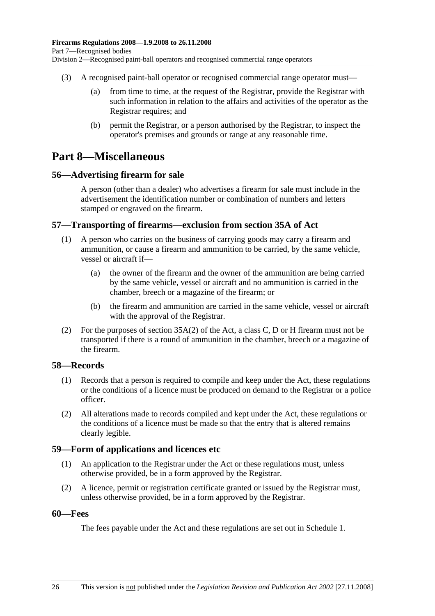- (3) A recognised paint-ball operator or recognised commercial range operator must—
	- (a) from time to time, at the request of the Registrar, provide the Registrar with such information in relation to the affairs and activities of the operator as the Registrar requires; and
	- (b) permit the Registrar, or a person authorised by the Registrar, to inspect the operator's premises and grounds or range at any reasonable time.

# **Part 8—Miscellaneous**

### **56—Advertising firearm for sale**

A person (other than a dealer) who advertises a firearm for sale must include in the advertisement the identification number or combination of numbers and letters stamped or engraved on the firearm.

### **57—Transporting of firearms—exclusion from section 35A of Act**

- (1) A person who carries on the business of carrying goods may carry a firearm and ammunition, or cause a firearm and ammunition to be carried, by the same vehicle, vessel or aircraft if—
	- (a) the owner of the firearm and the owner of the ammunition are being carried by the same vehicle, vessel or aircraft and no ammunition is carried in the chamber, breech or a magazine of the firearm; or
	- (b) the firearm and ammunition are carried in the same vehicle, vessel or aircraft with the approval of the Registrar.
- (2) For the purposes of section  $35A(2)$  of the Act, a class C, D or H firearm must not be transported if there is a round of ammunition in the chamber, breech or a magazine of the firearm.

# **58—Records**

- (1) Records that a person is required to compile and keep under the Act, these regulations or the conditions of a licence must be produced on demand to the Registrar or a police officer.
- (2) All alterations made to records compiled and kept under the Act, these regulations or the conditions of a licence must be made so that the entry that is altered remains clearly legible.

#### **59—Form of applications and licences etc**

- (1) An application to the Registrar under the Act or these regulations must, unless otherwise provided, be in a form approved by the Registrar.
- (2) A licence, permit or registration certificate granted or issued by the Registrar must, unless otherwise provided, be in a form approved by the Registrar.

#### **60—Fees**

The fees payable under the Act and these regulations are set out in Schedule 1.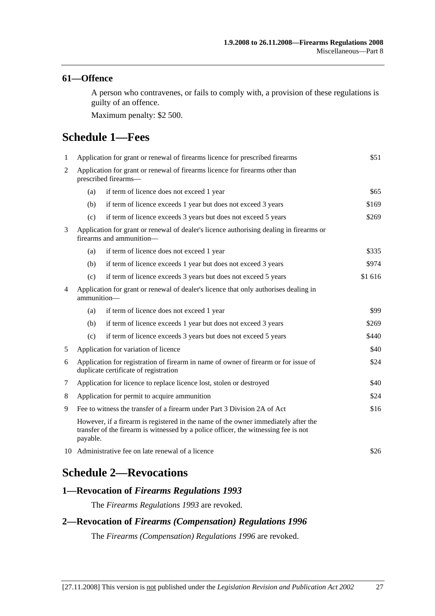### **61—Offence**

A person who contravenes, or fails to comply with, a provision of these regulations is guilty of an offence.

Maximum penalty: \$2 500.

# **Schedule 1—Fees**

| $\mathbf{1}$                                                                  | Application for grant or renewal of firearms licence for prescribed firearms                                                                                                          |                                                                |         |  |  |
|-------------------------------------------------------------------------------|---------------------------------------------------------------------------------------------------------------------------------------------------------------------------------------|----------------------------------------------------------------|---------|--|--|
| $\overline{2}$                                                                | Application for grant or renewal of firearms licence for firearms other than<br>prescribed firearms-                                                                                  |                                                                |         |  |  |
|                                                                               | (a)                                                                                                                                                                                   | if term of licence does not exceed 1 year                      | \$65    |  |  |
|                                                                               | (b)                                                                                                                                                                                   | if term of licence exceeds 1 year but does not exceed 3 years  | \$169   |  |  |
|                                                                               | (c)                                                                                                                                                                                   | if term of licence exceeds 3 years but does not exceed 5 years | \$269   |  |  |
| 3                                                                             | Application for grant or renewal of dealer's licence authorising dealing in firearms or<br>firearms and ammunition-                                                                   |                                                                |         |  |  |
|                                                                               | (a)                                                                                                                                                                                   | if term of licence does not exceed 1 year                      | \$335   |  |  |
|                                                                               | (b)                                                                                                                                                                                   | if term of licence exceeds 1 year but does not exceed 3 years  | \$974   |  |  |
|                                                                               | (c)                                                                                                                                                                                   | if term of licence exceeds 3 years but does not exceed 5 years | \$1 616 |  |  |
| 4                                                                             | Application for grant or renewal of dealer's licence that only authorises dealing in<br>ammunition-                                                                                   |                                                                |         |  |  |
|                                                                               | (a)                                                                                                                                                                                   | if term of licence does not exceed 1 year                      | \$99    |  |  |
|                                                                               | (b)                                                                                                                                                                                   | if term of licence exceeds 1 year but does not exceed 3 years  | \$269   |  |  |
|                                                                               | (c)                                                                                                                                                                                   | if term of licence exceeds 3 years but does not exceed 5 years | \$440   |  |  |
| 5                                                                             | Application for variation of licence<br>\$40                                                                                                                                          |                                                                |         |  |  |
| 6                                                                             | Application for registration of firearm in name of owner of firearm or for issue of<br>\$24<br>duplicate certificate of registration                                                  |                                                                |         |  |  |
| 7                                                                             | Application for licence to replace licence lost, stolen or destroyed<br>\$40                                                                                                          |                                                                |         |  |  |
| 8                                                                             | Application for permit to acquire ammunition                                                                                                                                          |                                                                | \$24    |  |  |
| Fee to witness the transfer of a firearm under Part 3 Division 2A of Act<br>9 |                                                                                                                                                                                       |                                                                | \$16    |  |  |
|                                                                               | However, if a firearm is registered in the name of the owner immediately after the<br>transfer of the firearm is witnessed by a police officer, the witnessing fee is not<br>payable. |                                                                |         |  |  |
|                                                                               | 10 Administrative fee on late renewal of a licence<br>\$26                                                                                                                            |                                                                |         |  |  |
|                                                                               |                                                                                                                                                                                       |                                                                |         |  |  |

# **Schedule 2—Revocations**

# **1—Revocation of** *Firearms Regulations 1993*

The *Firearms Regulations 1993* are revoked.

# **2—Revocation of** *Firearms (Compensation) Regulations 1996*

The *Firearms (Compensation) Regulations 1996* are revoked.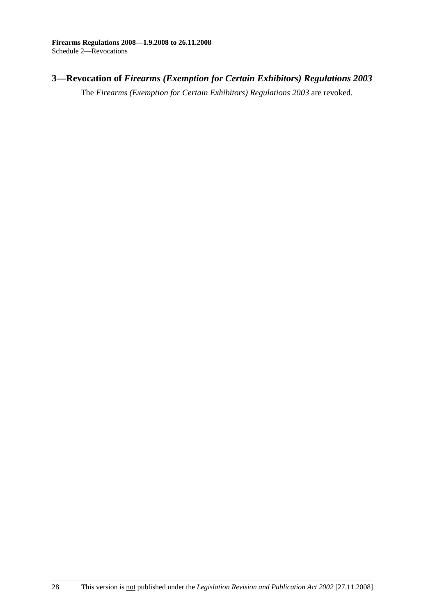# **3—Revocation of** *Firearms (Exemption for Certain Exhibitors) Regulations 2003*

The *Firearms (Exemption for Certain Exhibitors) Regulations 2003* are revoked.